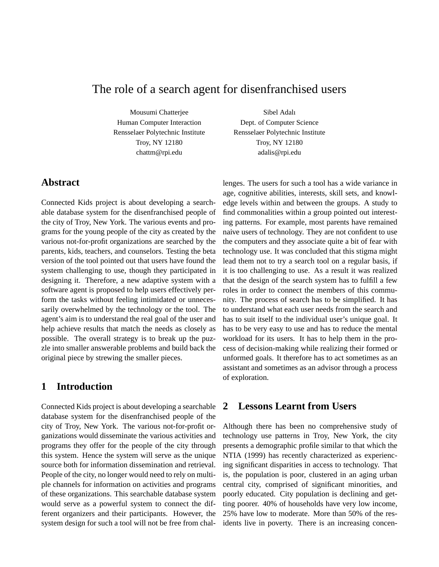# The role of a search agent for disenfranchised users

Mousumi Chatterjee Human Computer Interaction Rensselaer Polytechnic Institute Troy, NY 12180 chattm@rpi.edu

Sibel Adalı Dept. of Computer Science Rensselaer Polytechnic Institute Troy, NY 12180 adalis@rpi.edu

### **Abstract**

Connected Kids project is about developing a searchable database system for the disenfranchised people of the city of Troy, New York. The various events and programs for the young people of the city as created by the various not-for-profit organizations are searched by the parents, kids, teachers, and counselors. Testing the beta version of the tool pointed out that users have found the system challenging to use, though they participated in designing it. Therefore, a new adaptive system with a software agent is proposed to help users effectively perform the tasks without feeling intimidated or unnecessarily overwhelmed by the technology or the tool. The agent's aim is to understand the real goal of the user and help achieve results that match the needs as closely as possible. The overall strategy is to break up the puzzle into smaller answerable problems and build back the original piece by strewing the smaller pieces.

# **1 Introduction**

Connected Kids project is about developing a searchable database system for the disenfranchised people of the city of Troy, New York. The various not-for-profit organizations would disseminate the various activities and programs they offer for the people of the city through this system. Hence the system will serve as the unique source both for information dissemination and retrieval. People of the city, no longer would need to rely on multiple channels for information on activities and programs of these organizations. This searchable database system would serve as a powerful system to connect the different organizers and their participants. However, the system design for such a tool will not be free from challenges. The users for such a tool has a wide variance in age, cognitive abilities, interests, skill sets, and knowledge levels within and between the groups. A study to find commonalities within a group pointed out interesting patterns. For example, most parents have remained naive users of technology. They are not confident to use the computers and they associate quite a bit of fear with technology use. It was concluded that this stigma might lead them not to try a search tool on a regular basis, if it is too challenging to use. As a result it was realized that the design of the search system has to fulfill a few roles in order to connect the members of this community. The process of search has to be simplified. It has to understand what each user needs from the search and has to suit itself to the individual user's unique goal. It has to be very easy to use and has to reduce the mental workload for its users. It has to help them in the process of decision-making while realizing their formed or unformed goals. It therefore has to act sometimes as an assistant and sometimes as an advisor through a process of exploration.

# **2 Lessons Learnt from Users**

Although there has been no comprehensive study of technology use patterns in Troy, New York, the city presents a demographic profile similar to that which the NTIA (1999) has recently characterized as experiencing significant disparities in access to technology. That is, the population is poor, clustered in an aging urban central city, comprised of significant minorities, and poorly educated. City population is declining and getting poorer. 40% of households have very low income, 25% have low to moderate. More than 50% of the residents live in poverty. There is an increasing concen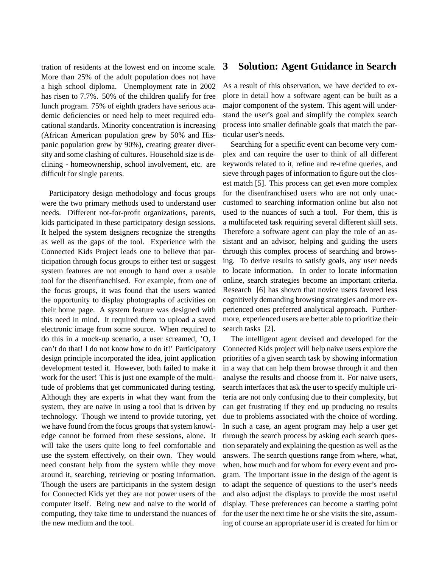tration of residents at the lowest end on income scale. More than 25% of the adult population does not have a high school diploma. Unemployment rate in 2002 has risen to 7.7%. 50% of the children qualify for free lunch program. 75% of eighth graders have serious academic deficiencies or need help to meet required educational standards. Minority concentration is increasing (African American population grew by 50% and Hispanic population grew by 90%), creating greater diversity and some clashing of cultures. Household size is declining - homeownership, school involvement, etc. are difficult for single parents.

Participatory design methodology and focus groups were the two primary methods used to understand user needs. Different not-for-profit organizations, parents, kids participated in these participatory design sessions. It helped the system designers recognize the strengths as well as the gaps of the tool. Experience with the Connected Kids Project leads one to believe that participation through focus groups to either test or suggest system features are not enough to hand over a usable tool for the disenfranchised. For example, from one of the focus groups, it was found that the users wanted the opportunity to display photographs of activities on their home page. A system feature was designed with this need in mind. It required them to upload a saved electronic image from some source. When required to do this in a mock-up scenario, a user screamed, 'O, I can't do that! I do not know how to do it!' Participatory design principle incorporated the idea, joint application development tested it. However, both failed to make it work for the user! This is just one example of the multitude of problems that get communicated during testing. Although they are experts in what they want from the system, they are naive in using a tool that is driven by technology. Though we intend to provide tutoring, yet we have found from the focus groups that system knowledge cannot be formed from these sessions, alone. It will take the users quite long to feel comfortable and use the system effectively, on their own. They would need constant help from the system while they move around it, searching, retrieving or posting information. Though the users are participants in the system design for Connected Kids yet they are not power users of the computer itself. Being new and naive to the world of computing, they take time to understand the nuances of the new medium and the tool.

### **3 Solution: Agent Guidance in Search**

As a result of this observation, we have decided to explore in detail how a software agent can be built as a major component of the system. This agent will understand the user's goal and simplify the complex search process into smaller definable goals that match the particular user's needs.

Searching for a specific event can become very complex and can require the user to think of all different keywords related to it, refine and re-refine queries, and sieve through pages of information to figure out the closest match [5]. This process can get even more complex for the disenfranchised users who are not only unaccustomed to searching information online but also not used to the nuances of such a tool. For them, this is a multifaceted task requiring several different skill sets. Therefore a software agent can play the role of an assistant and an advisor, helping and guiding the users through this complex process of searching and browsing. To derive results to satisfy goals, any user needs to locate information. In order to locate information online, search strategies become an important criteria. Research [6] has shown that novice users favored less cognitively demanding browsing strategies and more experienced ones preferred analytical approach. Furthermore, experienced users are better able to prioritize their search tasks [2].

The intelligent agent devised and developed for the Connected Kids project will help naive users explore the priorities of a given search task by showing information in a way that can help them browse through it and then analyse the results and choose from it. For naive users, search interfaces that ask the user to specify multiple criteria are not only confusing due to their complexity, but can get frustrating if they end up producing no results due to problems associated with the choice of wording. In such a case, an agent program may help a user get through the search process by asking each search question separately and explaining the question as well as the answers. The search questions range from where, what, when, how much and for whom for every event and program. The important issue in the design of the agent is to adapt the sequence of questions to the user's needs and also adjust the displays to provide the most useful display. These preferences can become a starting point for the user the next time he or she visits the site, assuming of course an appropriate user id is created for him or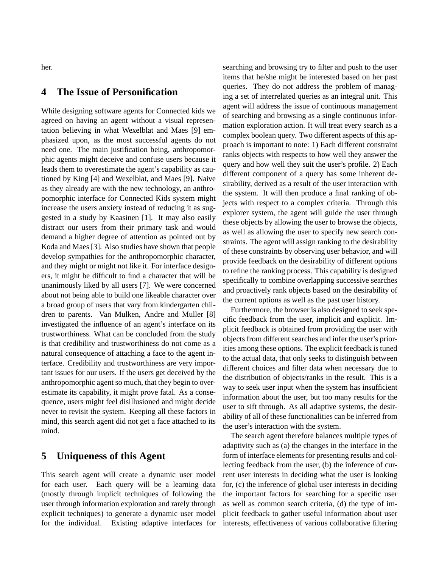her.

## **4 The Issue of Personification**

While designing software agents for Connected kids we agreed on having an agent without a visual representation believing in what Wexelblat and Maes [9] emphasized upon, as the most successful agents do not need one. The main justification being, anthropomorphic agents might deceive and confuse users because it leads them to overestimate the agent's capability as cautioned by King [4] and Wexelblat, and Maes [9]. Naive as they already are with the new technology, an anthropomorphic interface for Connected Kids system might increase the users anxiety instead of reducing it as suggested in a study by Kaasinen [1]. It may also easily distract our users from their primary task and would demand a higher degree of attention as pointed out by Koda and Maes [3]. Also studies have shown that people develop sympathies for the anthropomorphic character, and they might or might not like it. For interface designers, it might be difficult to find a character that will be unanimously liked by all users [7]. We were concerned about not being able to build one likeable character over a broad group of users that vary from kindergarten children to parents. Van Mulken, Andre and Muller [8] investigated the influence of an agent's interface on its trustworthiness. What can be concluded from the study is that credibility and trustworthiness do not come as a natural consequence of attaching a face to the agent interface. Credibility and trustworthiness are very important issues for our users. If the users get deceived by the anthropomorphic agent so much, that they begin to overestimate its capability, it might prove fatal. As a consequence, users might feel disillusioned and might decide never to revisit the system. Keeping all these factors in mind, this search agent did not get a face attached to its mind.

### **5 Uniqueness of this Agent**

This search agent will create a dynamic user model for each user. Each query will be a learning data (mostly through implicit techniques of following the user through information exploration and rarely through explicit techniques) to generate a dynamic user model for the individual. Existing adaptive interfaces for searching and browsing try to filter and push to the user items that he/she might be interested based on her past queries. They do not address the problem of managing a set of interrelated queries as an integral unit. This agent will address the issue of continuous management of searching and browsing as a single continuous information exploration action. It will treat every search as a complex boolean query. Two different aspects of this approach is important to note: 1) Each different constraint ranks objects with respects to how well they answer the query and how well they suit the user's profile. 2) Each different component of a query has some inherent desirability, derived as a result of the user interaction with the system. It will then produce a final ranking of objects with respect to a complex criteria. Through this explorer system, the agent will guide the user through these objects by allowing the user to browse the objects, as well as allowing the user to specify new search constraints. The agent will assign ranking to the desirability of these constraints by observing user behavior, and will provide feedback on the desirability of different options to refine the ranking process. This capability is designed specifically to combine overlapping successive searches and proactively rank objects based on the desirability of the current options as well as the past user history.

Furthermore, the browser is also designed to seek specific feedback from the user, implicit and explicit. Implicit feedback is obtained from providing the user with objects from different searches and infer the user's priorities among these options. The explicit feedback is tuned to the actual data, that only seeks to distinguish between different choices and filter data when necessary due to the distribution of objects/ranks in the result. This is a way to seek user input when the system has insufficient information about the user, but too many results for the user to sift through. As all adaptive systems, the desirability of all of these functionalities can be inferred from the user's interaction with the system.

The search agent therefore balances multiple types of adaptivity such as (a) the changes in the interface in the form of interface elements for presenting results and collecting feedback from the user, (b) the inference of current user interests in deciding what the user is looking for, (c) the inference of global user interests in deciding the important factors for searching for a specific user as well as common search criteria, (d) the type of implicit feedback to gather useful information about user interests, effectiveness of various collaborative filtering